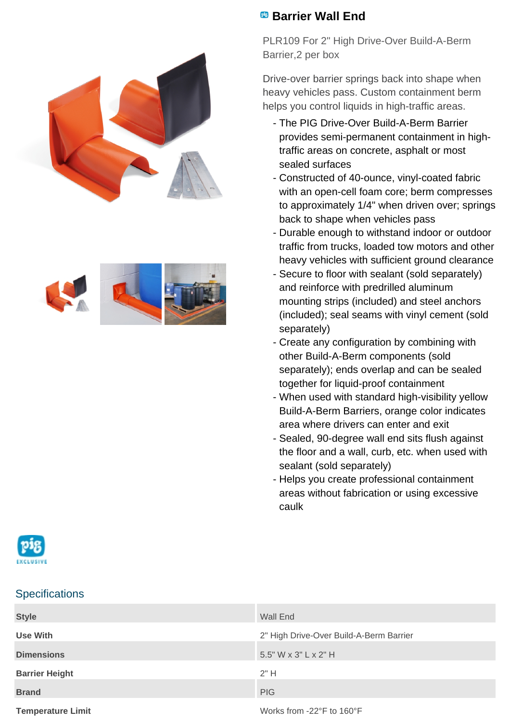



## **Barrier Wall End**

PLR109 For 2" High Drive-Over Build-A-Berm Barrier,2 per box

Drive-over barrier springs back into shape when heavy vehicles pass. Custom containment berm helps you control liquids in high-traffic areas.

- The PIG Drive-Over Build-A-Berm Barrier provides semi-permanent containment in hightraffic areas on concrete, asphalt or most sealed surfaces
- Constructed of 40-ounce, vinyl-coated fabric with an open-cell foam core; berm compresses to approximately 1/4" when driven over; springs back to shape when vehicles pass
- Durable enough to withstand indoor or outdoor traffic from trucks, loaded tow motors and other heavy vehicles with sufficient ground clearance
- Secure to floor with sealant (sold separately) and reinforce with predrilled aluminum mounting strips (included) and steel anchors (included); seal seams with vinyl cement (sold separately)
- Create any configuration by combining with other Build-A-Berm components (sold separately); ends overlap and can be sealed together for liquid-proof containment
- When used with standard high-visibility yellow Build-A-Berm Barriers, orange color indicates area where drivers can enter and exit
- Sealed, 90-degree wall end sits flush against the floor and a wall, curb, etc. when used with sealant (sold separately)
- Helps you create professional containment areas without fabrication or using excessive caulk



## **Specifications**

| <b>Style</b>             | Wall End                                |
|--------------------------|-----------------------------------------|
| Use With                 | 2" High Drive-Over Build-A-Berm Barrier |
| <b>Dimensions</b>        | 5.5" W x 3" L x 2" H                    |
| <b>Barrier Height</b>    | 2"H                                     |
| <b>Brand</b>             | <b>PIG</b>                              |
| <b>Temperature Limit</b> | Works from -22°F to 160°F               |